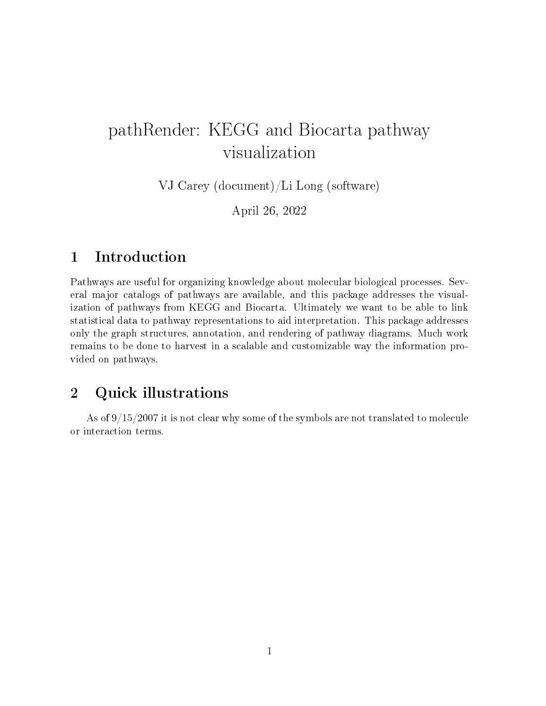## pathRender: KEGG and Biocarta pathway visualization

VJ Carey (document)/Li Long (software)

April 26, 2022

## 1 Introduction

Pathways are useful for organizing knowledge about molecular biological processes. Several major catalogs of pathways are available, and this package addresses the visualization of pathways from KEGG and Biocarta. Ultimately we want to be able to link statistical data to pathway representations to aid interpretation. This package addresses only the graph structures, annotation, and rendering of pathway diagrams. Much work remains to be done to harvest in a scalable and customizable way the information provided on pathways.

## 2 Quick illustrations

As of 9/15/2007 it is not clear why some of the symbols are not translated to molecule or interaction terms.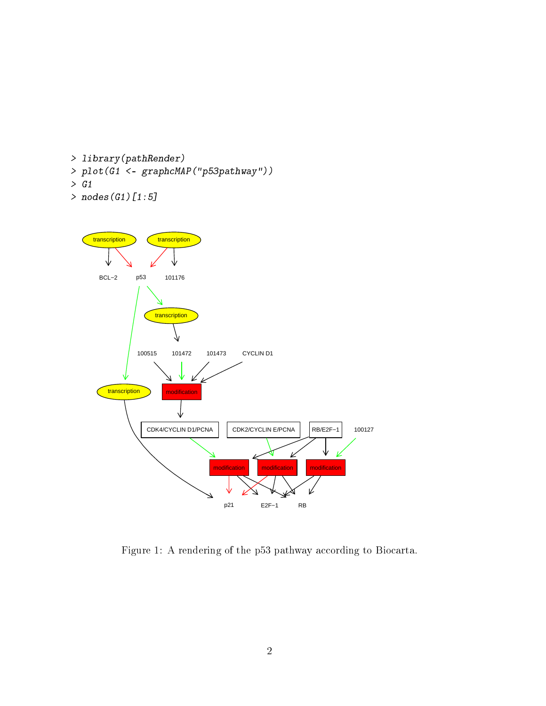```
> library(pathRender)
> plot(G1 <- graphcMAP("p53pathway"))
> G1
```

```
> nodes(G1)[1:5]
```


Figure 1: A rendering of the p53 pathway according to Biocarta.